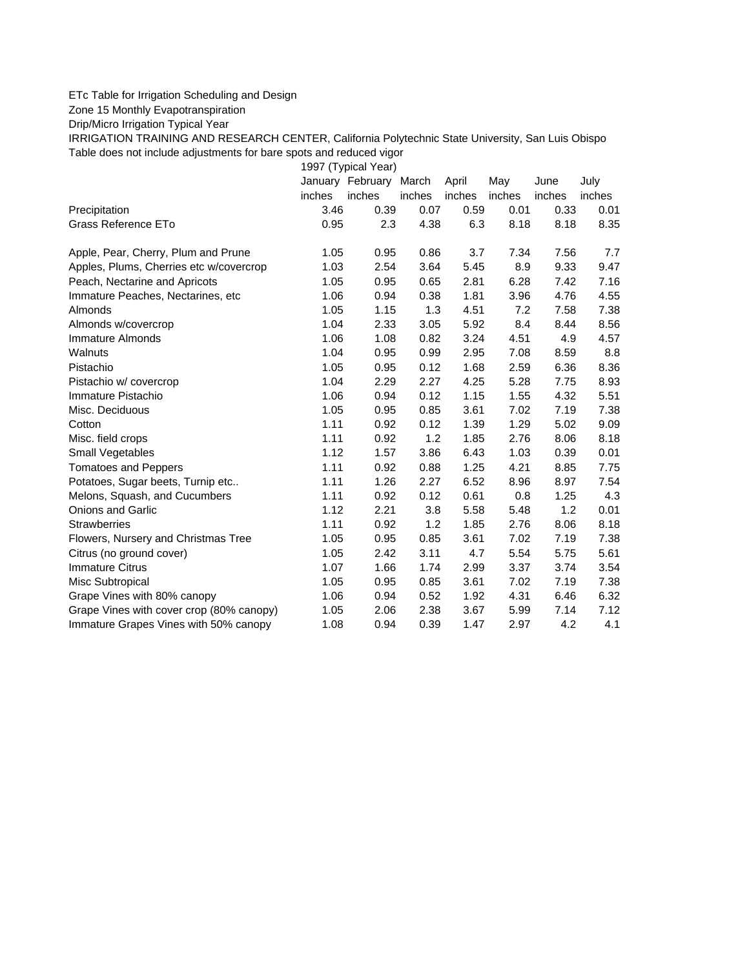## ETc Table for Irrigation Scheduling and Design

Zone 15 Monthly Evapotranspiration

Drip/Micro Irrigation Typical Year

IRRIGATION TRAINING AND RESEARCH CENTER, California Polytechnic State University, San Luis Obispo Table does not include adjustments for bare spots and reduced vigor

1997 (Typical Year)

|                                          |        | January February | March  | April  | May    | June   | July   |
|------------------------------------------|--------|------------------|--------|--------|--------|--------|--------|
|                                          | inches | inches           | inches | inches | inches | inches | inches |
| Precipitation                            | 3.46   | 0.39             | 0.07   | 0.59   | 0.01   | 0.33   | 0.01   |
| Grass Reference ETo                      | 0.95   | 2.3              | 4.38   | 6.3    | 8.18   | 8.18   | 8.35   |
| Apple, Pear, Cherry, Plum and Prune      | 1.05   | 0.95             | 0.86   | 3.7    | 7.34   | 7.56   | 7.7    |
| Apples, Plums, Cherries etc w/covercrop  | 1.03   | 2.54             | 3.64   | 5.45   | 8.9    | 9.33   | 9.47   |
| Peach, Nectarine and Apricots            | 1.05   | 0.95             | 0.65   | 2.81   | 6.28   | 7.42   | 7.16   |
| Immature Peaches, Nectarines, etc        | 1.06   | 0.94             | 0.38   | 1.81   | 3.96   | 4.76   | 4.55   |
| Almonds                                  | 1.05   | 1.15             | 1.3    | 4.51   | 7.2    | 7.58   | 7.38   |
| Almonds w/covercrop                      | 1.04   | 2.33             | 3.05   | 5.92   | 8.4    | 8.44   | 8.56   |
| Immature Almonds                         | 1.06   | 1.08             | 0.82   | 3.24   | 4.51   | 4.9    | 4.57   |
| Walnuts                                  | 1.04   | 0.95             | 0.99   | 2.95   | 7.08   | 8.59   | 8.8    |
| Pistachio                                | 1.05   | 0.95             | 0.12   | 1.68   | 2.59   | 6.36   | 8.36   |
| Pistachio w/ covercrop                   | 1.04   | 2.29             | 2.27   | 4.25   | 5.28   | 7.75   | 8.93   |
| Immature Pistachio                       | 1.06   | 0.94             | 0.12   | 1.15   | 1.55   | 4.32   | 5.51   |
| Misc. Deciduous                          | 1.05   | 0.95             | 0.85   | 3.61   | 7.02   | 7.19   | 7.38   |
| Cotton                                   | 1.11   | 0.92             | 0.12   | 1.39   | 1.29   | 5.02   | 9.09   |
| Misc. field crops                        | 1.11   | 0.92             | 1.2    | 1.85   | 2.76   | 8.06   | 8.18   |
| Small Vegetables                         | 1.12   | 1.57             | 3.86   | 6.43   | 1.03   | 0.39   | 0.01   |
| <b>Tomatoes and Peppers</b>              | 1.11   | 0.92             | 0.88   | 1.25   | 4.21   | 8.85   | 7.75   |
| Potatoes, Sugar beets, Turnip etc        | 1.11   | 1.26             | 2.27   | 6.52   | 8.96   | 8.97   | 7.54   |
| Melons, Squash, and Cucumbers            | 1.11   | 0.92             | 0.12   | 0.61   | 0.8    | 1.25   | 4.3    |
| <b>Onions and Garlic</b>                 | 1.12   | 2.21             | 3.8    | 5.58   | 5.48   | 1.2    | 0.01   |
| <b>Strawberries</b>                      | 1.11   | 0.92             | 1.2    | 1.85   | 2.76   | 8.06   | 8.18   |
| Flowers, Nursery and Christmas Tree      | 1.05   | 0.95             | 0.85   | 3.61   | 7.02   | 7.19   | 7.38   |
| Citrus (no ground cover)                 | 1.05   | 2.42             | 3.11   | 4.7    | 5.54   | 5.75   | 5.61   |
| <b>Immature Citrus</b>                   | 1.07   | 1.66             | 1.74   | 2.99   | 3.37   | 3.74   | 3.54   |
| Misc Subtropical                         | 1.05   | 0.95             | 0.85   | 3.61   | 7.02   | 7.19   | 7.38   |
| Grape Vines with 80% canopy              | 1.06   | 0.94             | 0.52   | 1.92   | 4.31   | 6.46   | 6.32   |
| Grape Vines with cover crop (80% canopy) | 1.05   | 2.06             | 2.38   | 3.67   | 5.99   | 7.14   | 7.12   |
| Immature Grapes Vines with 50% canopy    | 1.08   | 0.94             | 0.39   | 1.47   | 2.97   | 4.2    | 4.1    |